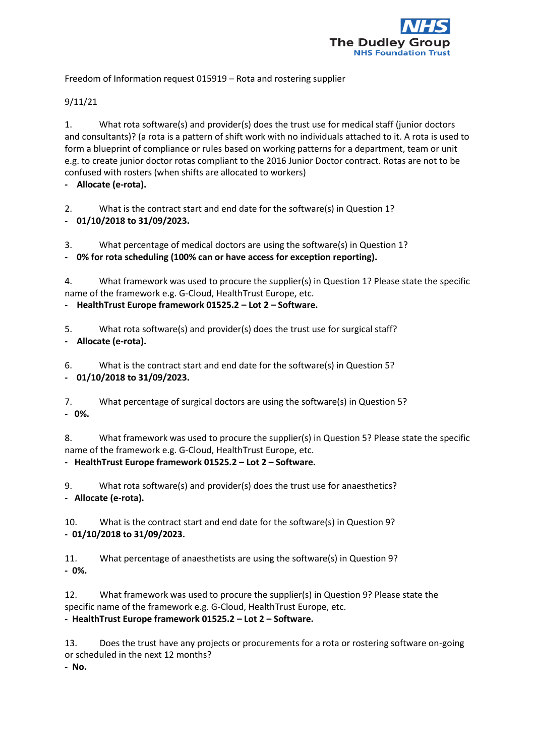

Freedom of Information request 015919 – Rota and rostering supplier

## 9/11/21

1. What rota software(s) and provider(s) does the trust use for medical staff (junior doctors and consultants)? (a rota is a pattern of shift work with no individuals attached to it. A rota is used to form a blueprint of compliance or rules based on working patterns for a department, team or unit e.g. to create junior doctor rotas compliant to the 2016 Junior Doctor contract. Rotas are not to be confused with rosters (when shifts are allocated to workers)

**- Allocate (e-rota).**

2. What is the contract start and end date for the software(s) in Question 1?

**- 01/10/2018 to 31/09/2023.**

3. What percentage of medical doctors are using the software(s) in Question 1?

**- 0% for rota scheduling (100% can or have access for exception reporting).**

4. What framework was used to procure the supplier(s) in Question 1? Please state the specific name of the framework e.g. G-Cloud, HealthTrust Europe, etc.

**- HealthTrust Europe framework 01525.2 – Lot 2 – Software.**

5. What rota software(s) and provider(s) does the trust use for surgical staff? **- Allocate (e-rota).**

6. What is the contract start and end date for the software(s) in Question 5? **- 01/10/2018 to 31/09/2023.**

7. What percentage of surgical doctors are using the software(s) in Question 5? **- 0%.**

8. What framework was used to procure the supplier(s) in Question 5? Please state the specific name of the framework e.g. G-Cloud, HealthTrust Europe, etc.

**- HealthTrust Europe framework 01525.2 – Lot 2 – Software.**

9. What rota software(s) and provider(s) does the trust use for anaesthetics? **- Allocate (e-rota).**

10. What is the contract start and end date for the software(s) in Question 9? **- 01/10/2018 to 31/09/2023.**

11. What percentage of anaesthetists are using the software(s) in Question 9? **- 0%.**

12. What framework was used to procure the supplier(s) in Question 9? Please state the specific name of the framework e.g. G-Cloud, HealthTrust Europe, etc.

**- HealthTrust Europe framework 01525.2 – Lot 2 – Software.**

13. Does the trust have any projects or procurements for a rota or rostering software on-going or scheduled in the next 12 months?

**- No.**